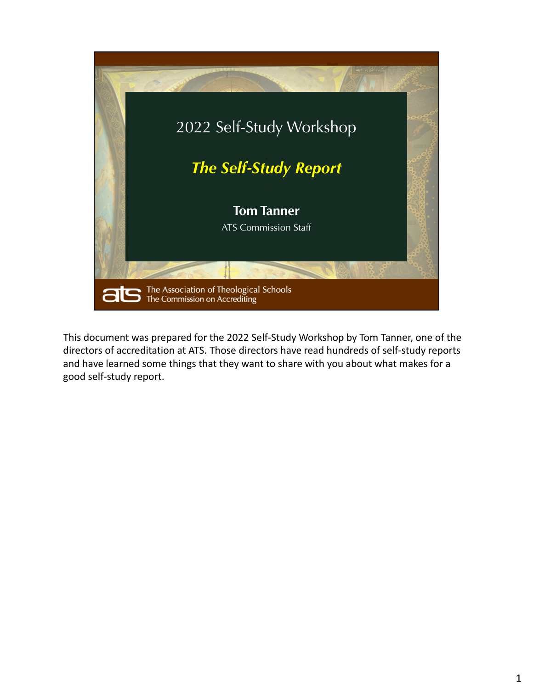

This document was prepared for the 2022 Self‐Study Workshop by Tom Tanner, one of the directors of accreditation at ATS. Those directors have read hundreds of self‐study reports and have learned some things that they want to share with you about what makes for a good self‐study report.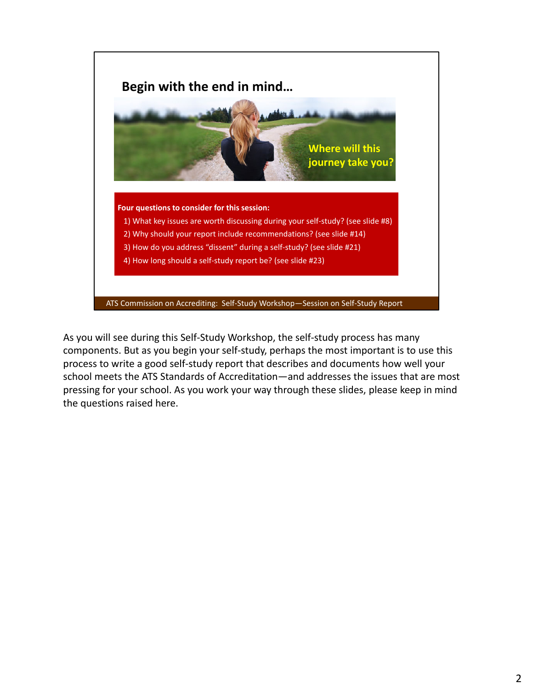

As you will see during this Self‐Study Workshop, the self‐study process has many components. But as you begin your self‐study, perhaps the most important is to use this process to write a good self‐study report that describes and documents how well your school meets the ATS Standards of Accreditation—and addresses the issues that are most pressing for your school. As you work your way through these slides, please keep in mind the questions raised here.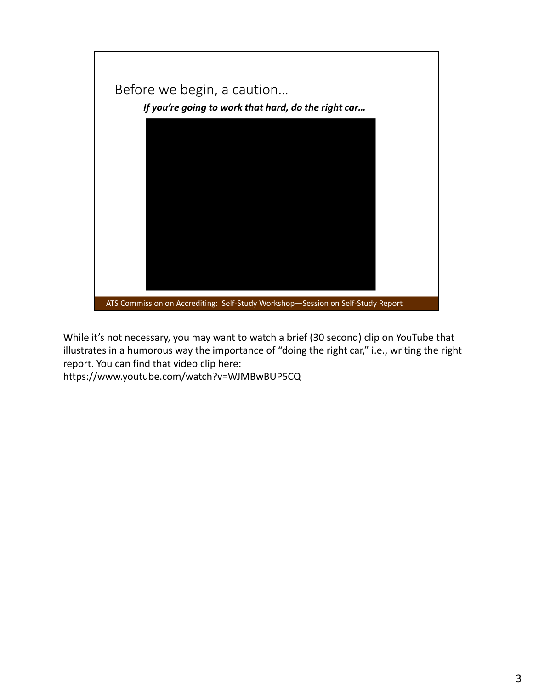

While it's not necessary, you may want to watch a brief (30 second) clip on YouTube that illustrates in a humorous way the importance of "doing the right car," i.e., writing the right report. You can find that video clip here:

https://www.youtube.com/watch?v=WJMBwBUP5CQ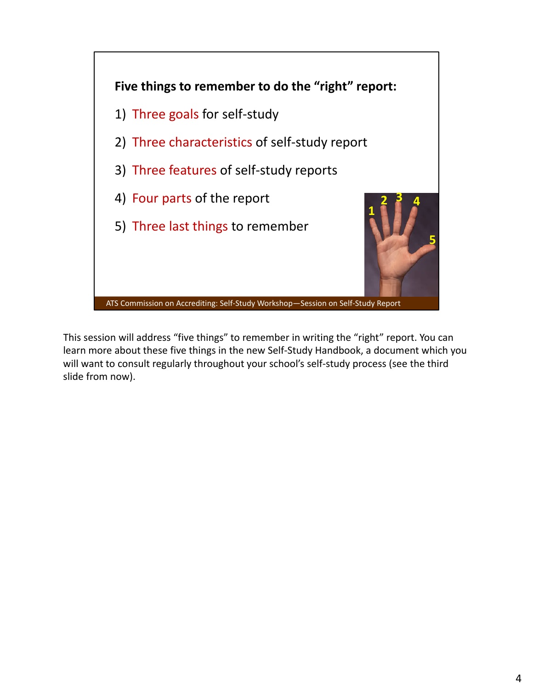

This session will address "five things" to remember in writing the "right" report. You can learn more about these five things in the new Self‐Study Handbook, a document which you will want to consult regularly throughout your school's self-study process (see the third slide from now).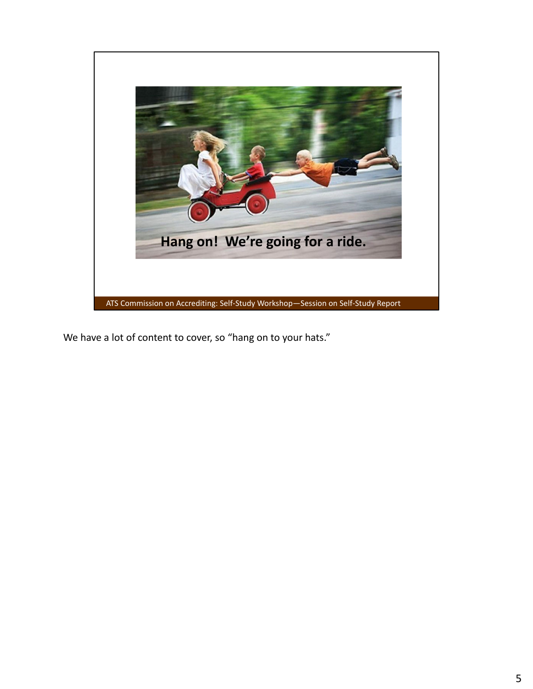

We have a lot of content to cover, so "hang on to your hats."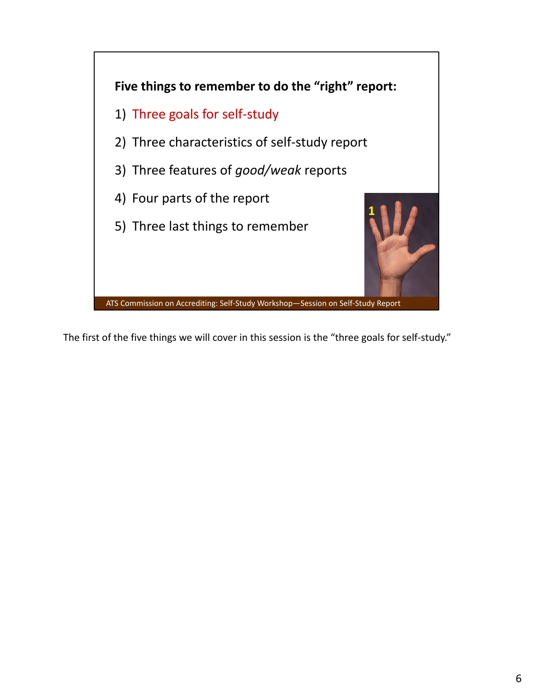

The first of the five things we will cover in this session is the "three goals for self-study."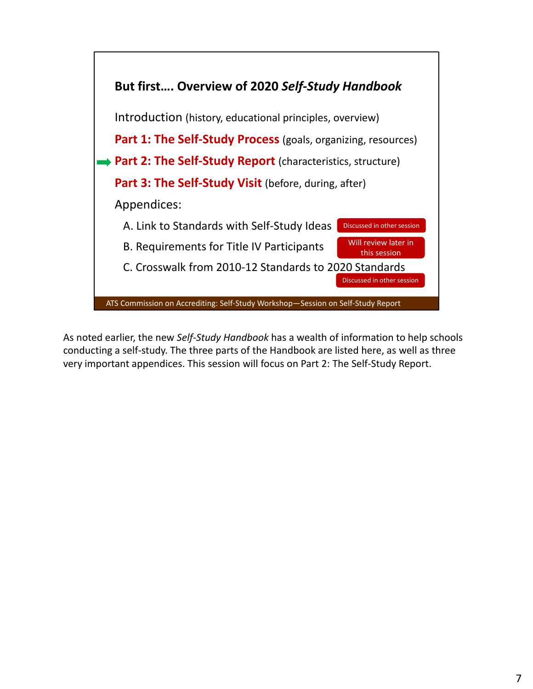

As noted earlier, the new *Self‐Study Handbook* has a wealth of information to help schools conducting a self‐study. The three parts of the Handbook are listed here, as well as three very important appendices. This session will focus on Part 2: The Self‐Study Report.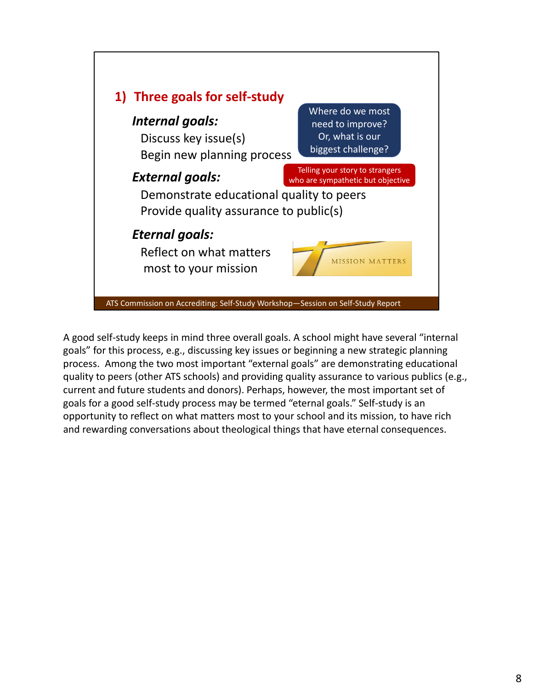

A good self‐study keeps in mind three overall goals. A school might have several "internal goals" for this process, e.g., discussing key issues or beginning a new strategic planning process. Among the two most important "external goals" are demonstrating educational quality to peers (other ATS schools) and providing quality assurance to various publics (e.g., current and future students and donors). Perhaps, however, the most important set of goals for a good self‐study process may be termed "eternal goals." Self‐study is an opportunity to reflect on what matters most to your school and its mission, to have rich and rewarding conversations about theological things that have eternal consequences.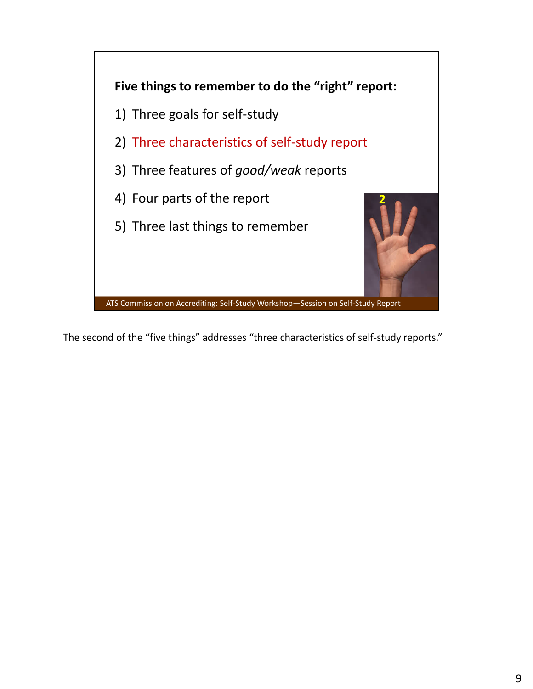

The second of the "five things" addresses "three characteristics of self-study reports."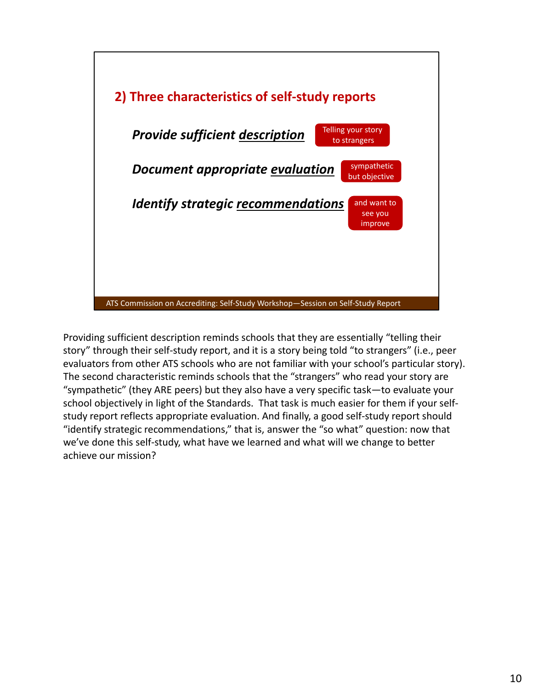

Providing sufficient description reminds schools that they are essentially "telling their story" through their self‐study report, and it is a story being told "to strangers" (i.e., peer evaluators from other ATS schools who are not familiar with your school's particular story). The second characteristic reminds schools that the "strangers" who read your story are "sympathetic" (they ARE peers) but they also have a very specific task—to evaluate your school objectively in light of the Standards. That task is much easier for them if your self‐ study report reflects appropriate evaluation. And finally, a good self‐study report should "identify strategic recommendations," that is, answer the "so what" question: now that we've done this self-study, what have we learned and what will we change to better achieve our mission?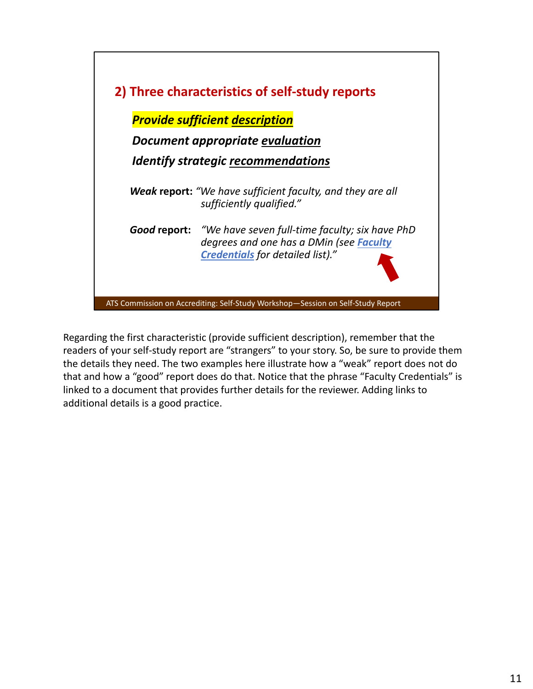

Regarding the first characteristic (provide sufficient description), remember that the readers of your self‐study report are "strangers" to your story. So, be sure to provide them the details they need. The two examples here illustrate how a "weak" report does not do that and how a "good" report does do that. Notice that the phrase "Faculty Credentials" is linked to a document that provides further details for the reviewer. Adding links to additional details is a good practice.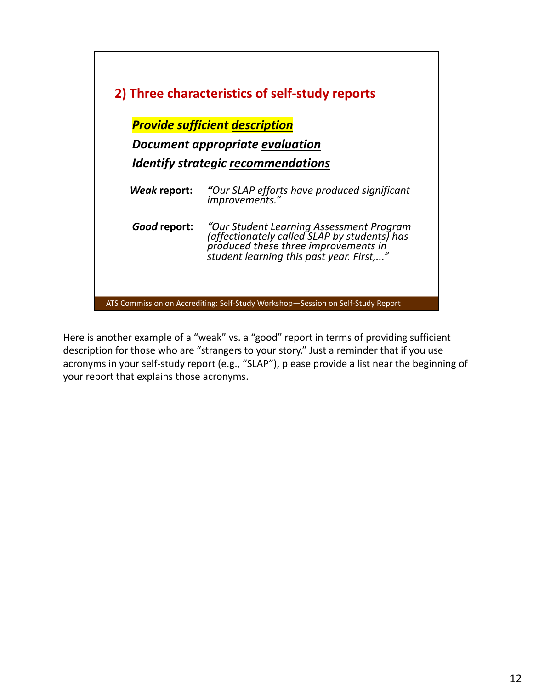

Here is another example of a "weak" vs. a "good" report in terms of providing sufficient description for those who are "strangers to your story." Just a reminder that if you use acronyms in your self‐study report (e.g., "SLAP"), please provide a list near the beginning of your report that explains those acronyms.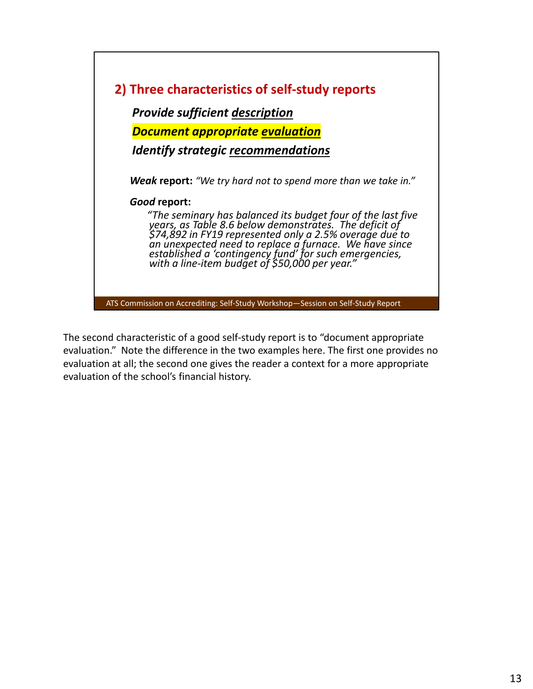

The second characteristic of a good self‐study report is to "document appropriate evaluation." Note the difference in the two examples here. The first one provides no evaluation at all; the second one gives the reader a context for a more appropriate evaluation of the school's financial history.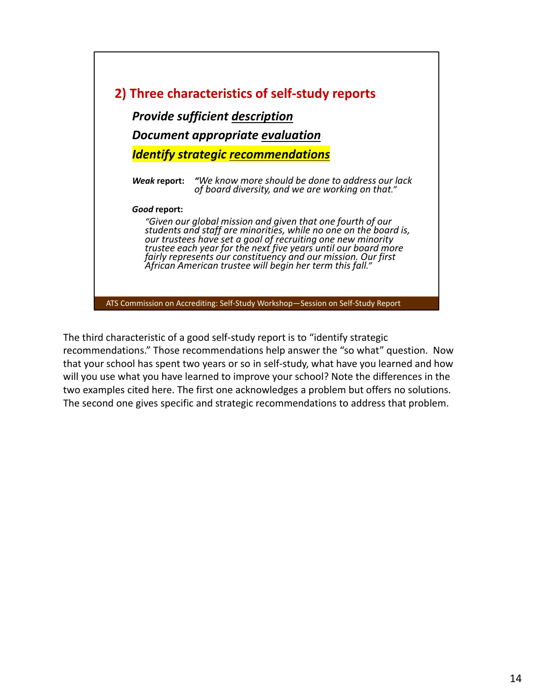

The third characteristic of a good self‐study report is to "identify strategic recommendations." Those recommendations help answer the "so what" question. Now that your school has spent two years or so in self‐study, what have you learned and how will you use what you have learned to improve your school? Note the differences in the two examples cited here. The first one acknowledges a problem but offers no solutions. The second one gives specific and strategic recommendations to address that problem.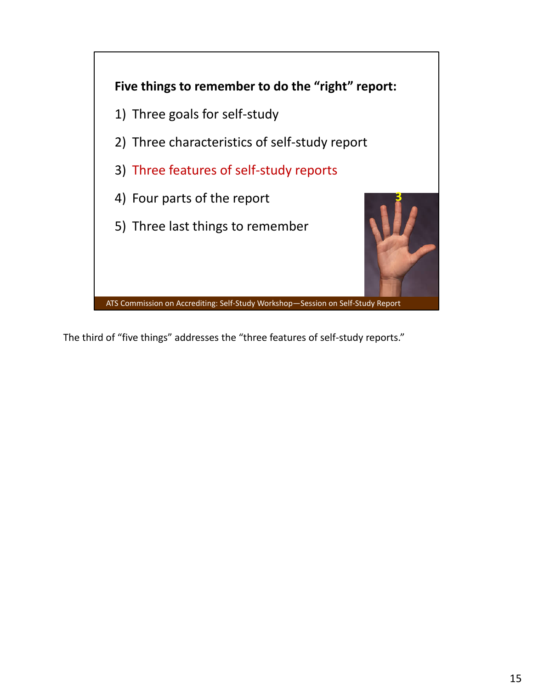

The third of "five things" addresses the "three features of self-study reports."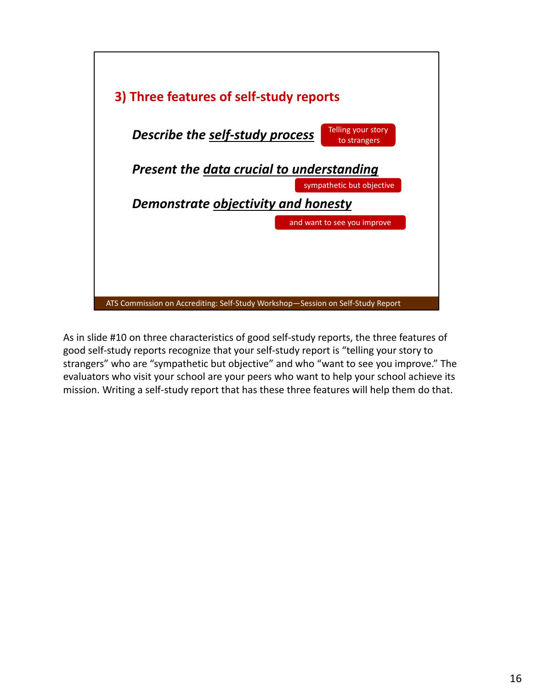

As in slide #10 on three characteristics of good self-study reports, the three features of good self‐study reports recognize that your self‐study report is "telling your story to strangers" who are "sympathetic but objective" and who "want to see you improve." The evaluators who visit your school are your peers who want to help your school achieve its mission. Writing a self‐study report that has these three features will help them do that.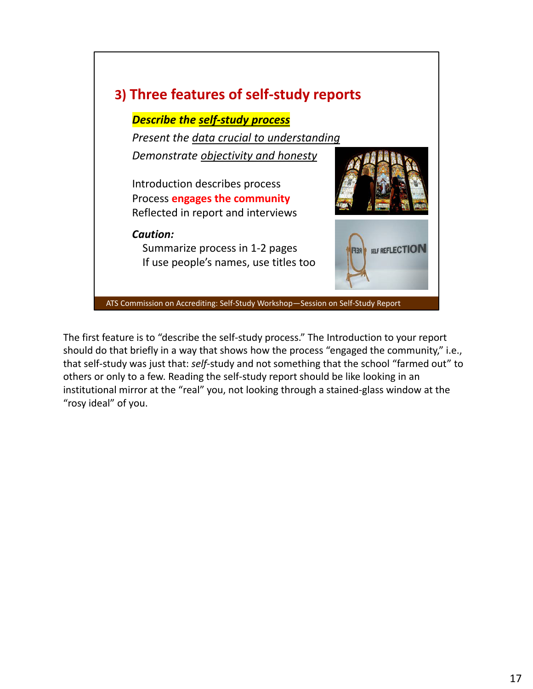

The first feature is to "describe the self‐study process." The Introduction to your report should do that briefly in a way that shows how the process "engaged the community," i.e., that self‐study was just that: *self*‐study and not something that the school "farmed out" to others or only to a few. Reading the self‐study report should be like looking in an institutional mirror at the "real" you, not looking through a stained‐glass window at the "rosy ideal" of you.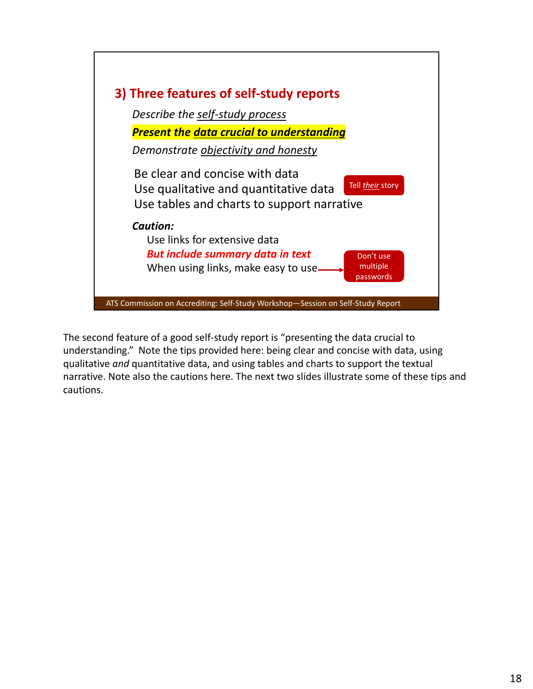

The second feature of a good self‐study report is "presenting the data crucial to understanding." Note the tips provided here: being clear and concise with data, using qualitative *and* quantitative data, and using tables and charts to support the textual narrative. Note also the cautions here. The next two slides illustrate some of these tips and cautions.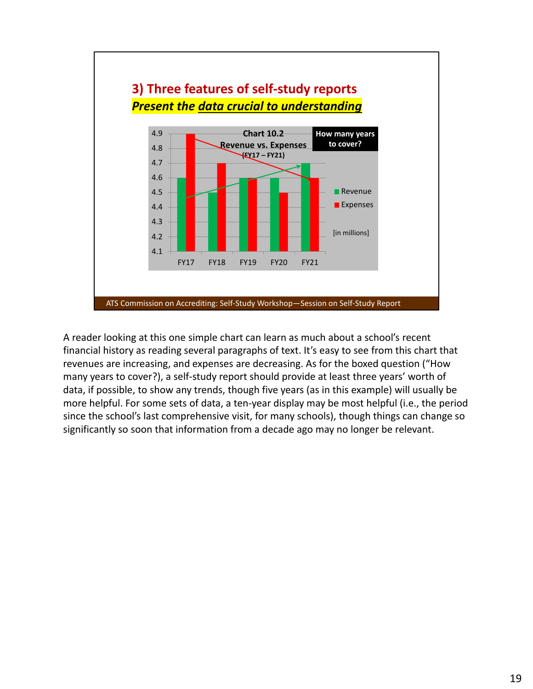

A reader looking at this one simple chart can learn as much about a school's recent financial history as reading several paragraphs of text. It's easy to see from this chart that revenues are increasing, and expenses are decreasing. As for the boxed question ("How many years to cover?), a self-study report should provide at least three years' worth of data, if possible, to show any trends, though five years (as in this example) will usually be more helpful. For some sets of data, a ten-year display may be most helpful (i.e., the period since the school's last comprehensive visit, for many schools), though things can change so significantly so soon that information from a decade ago may no longer be relevant.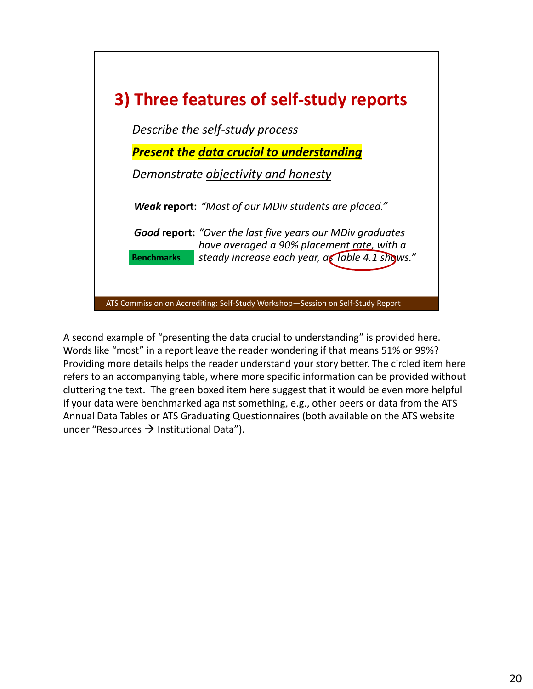

A second example of "presenting the data crucial to understanding" is provided here. Words like "most" in a report leave the reader wondering if that means 51% or 99%? Providing more details helps the reader understand your story better. The circled item here refers to an accompanying table, where more specific information can be provided without cluttering the text. The green boxed item here suggest that it would be even more helpful if your data were benchmarked against something, e.g., other peers or data from the ATS Annual Data Tables or ATS Graduating Questionnaires (both available on the ATS website under "Resources  $\rightarrow$  Institutional Data").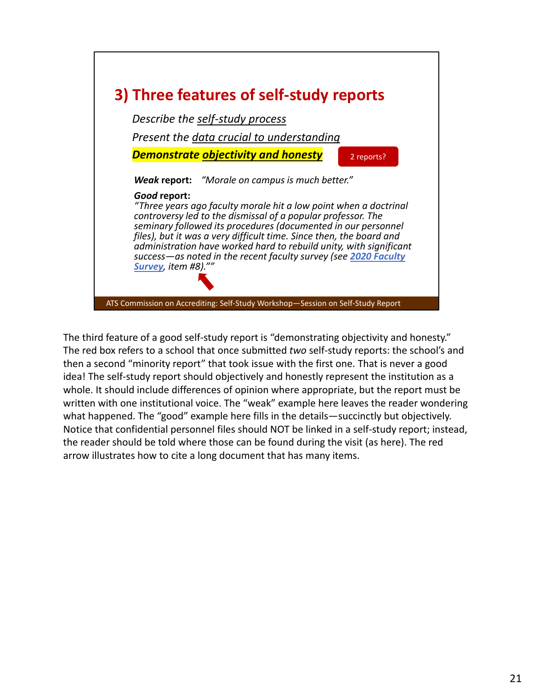

The third feature of a good self-study report is "demonstrating objectivity and honesty." The red box refers to a school that once submitted *two* self‐study reports: the school's and then a second "minority report" that took issue with the first one. That is never a good idea! The self‐study report should objectively and honestly represent the institution as a whole. It should include differences of opinion where appropriate, but the report must be written with one institutional voice. The "weak" example here leaves the reader wondering what happened. The "good" example here fills in the details—succinctly but objectively. Notice that confidential personnel files should NOT be linked in a self‐study report; instead, the reader should be told where those can be found during the visit (as here). The red arrow illustrates how to cite a long document that has many items.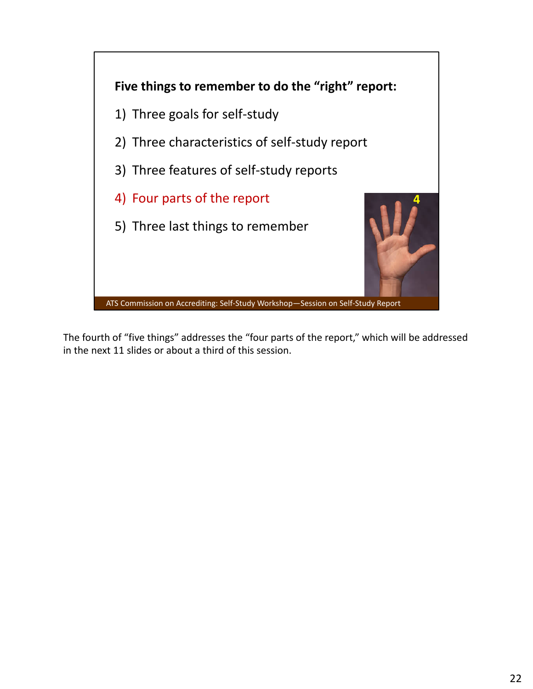

The fourth of "five things" addresses the "four parts of the report," which will be addressed in the next 11 slides or about a third of this session.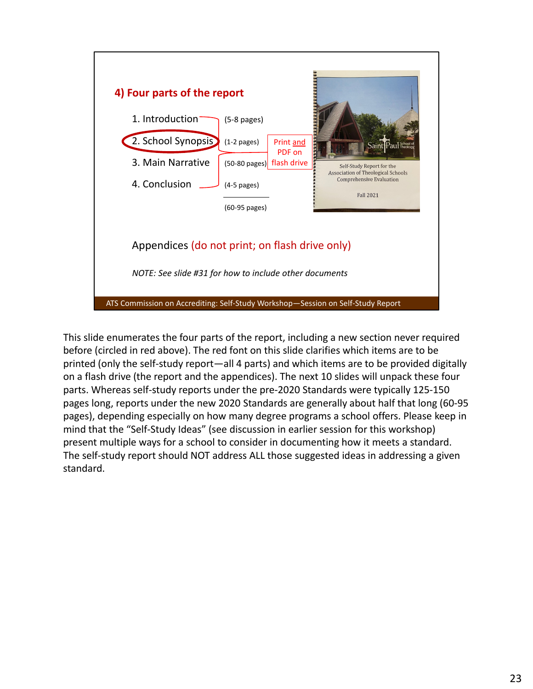

This slide enumerates the four parts of the report, including a new section never required before (circled in red above). The red font on this slide clarifies which items are to be printed (only the self‐study report—all 4 parts) and which items are to be provided digitally on a flash drive (the report and the appendices). The next 10 slides will unpack these four parts. Whereas self‐study reports under the pre‐2020 Standards were typically 125‐150 pages long, reports under the new 2020 Standards are generally about half that long (60‐95 pages), depending especially on how many degree programs a school offers. Please keep in mind that the "Self‐Study Ideas" (see discussion in earlier session for this workshop) present multiple ways for a school to consider in documenting how it meets a standard. The self-study report should NOT address ALL those suggested ideas in addressing a given standard.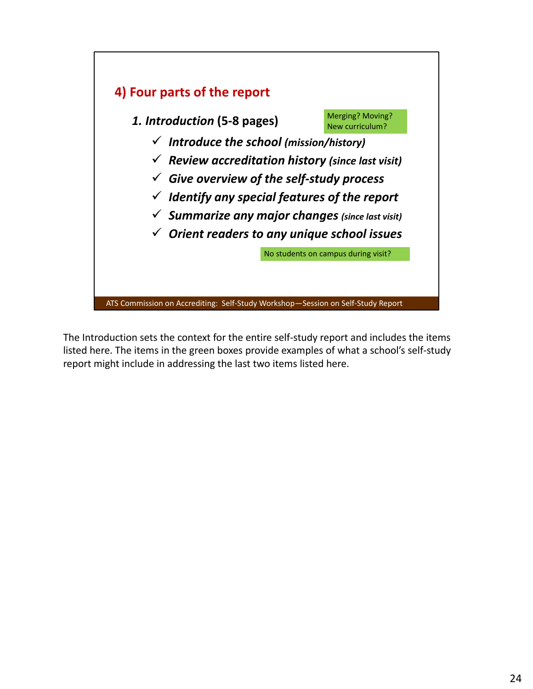

The Introduction sets the context for the entire self‐study report and includes the items listed here. The items in the green boxes provide examples of what a school's self‐study report might include in addressing the last two items listed here.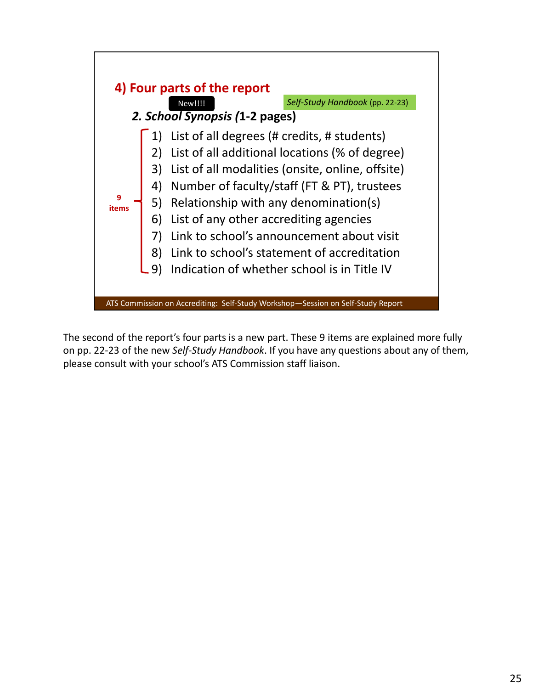

The second of the report's four parts is a new part. These 9 items are explained more fully on pp. 22‐23 of the new *Self‐Study Handbook*. If you have any questions about any of them, please consult with your school's ATS Commission staff liaison.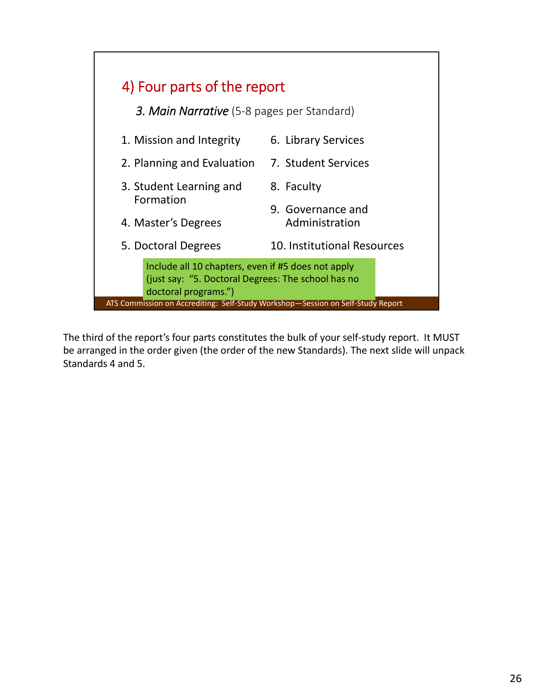

The third of the report's four parts constitutes the bulk of your self‐study report. It MUST be arranged in the order given (the order of the new Standards). The next slide will unpack Standards 4 and 5.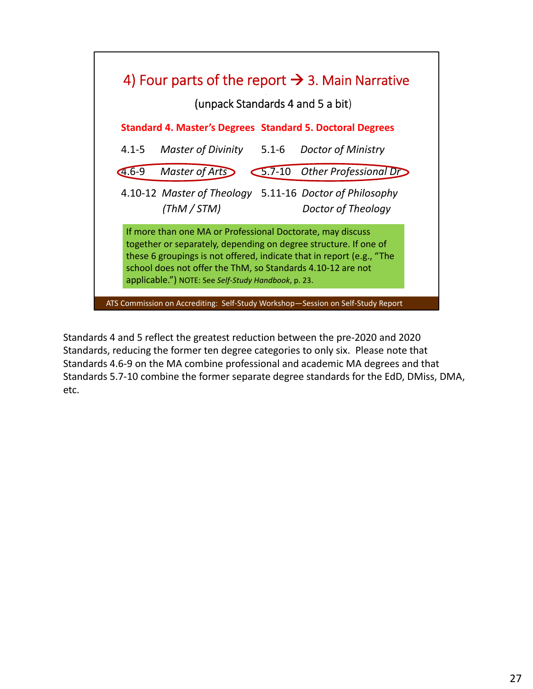

Standards 4 and 5 reflect the greatest reduction between the pre‐2020 and 2020 Standards, reducing the former ten degree categories to only six. Please note that Standards 4.6‐9 on the MA combine professional and academic MA degrees and that Standards 5.7‐10 combine the former separate degree standards for the EdD, DMiss, DMA, etc.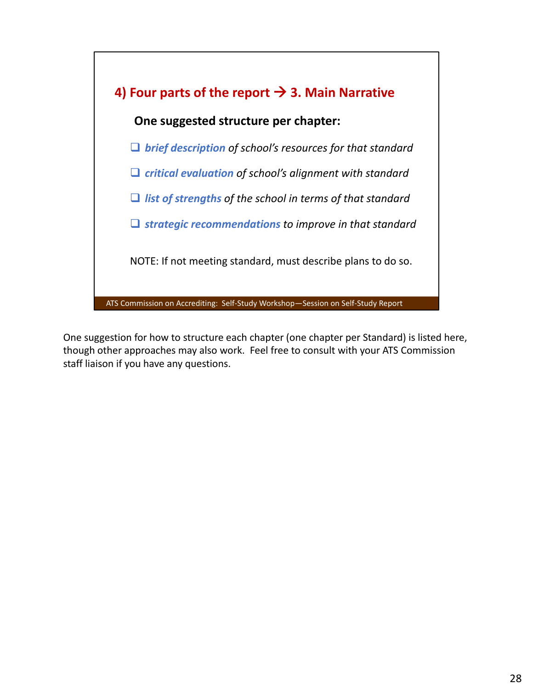

One suggestion for how to structure each chapter (one chapter per Standard) is listed here, though other approaches may also work. Feel free to consult with your ATS Commission staff liaison if you have any questions.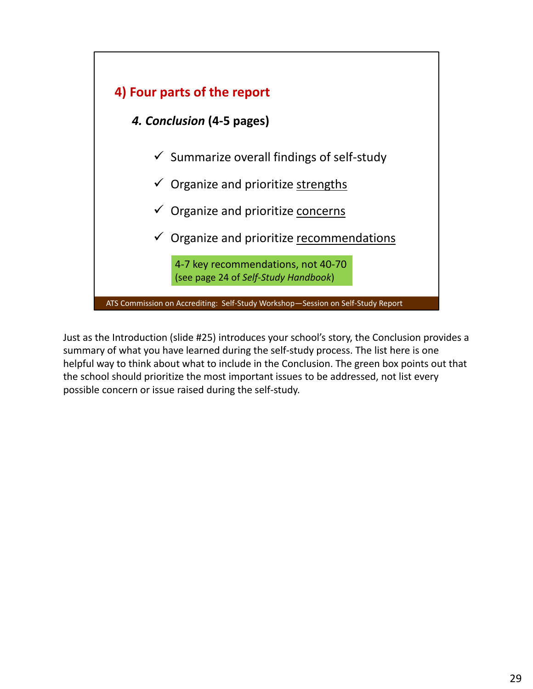

Just as the Introduction (slide #25) introduces your school's story, the Conclusion provides a summary of what you have learned during the self‐study process. The list here is one helpful way to think about what to include in the Conclusion. The green box points out that the school should prioritize the most important issues to be addressed, not list every possible concern or issue raised during the self‐study.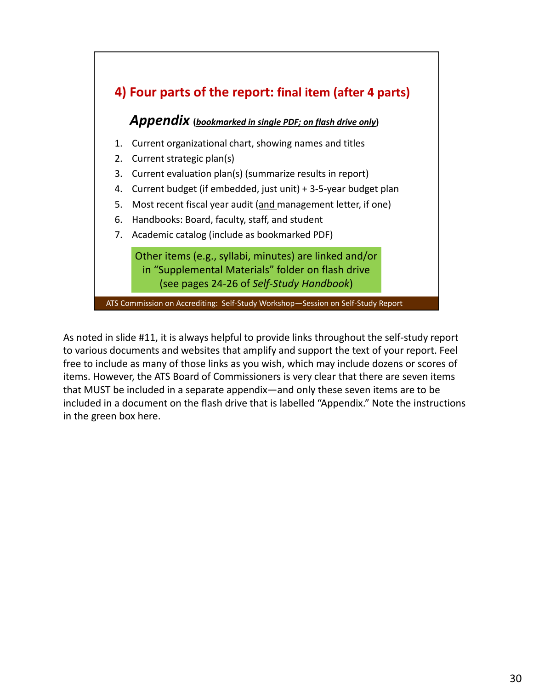

As noted in slide #11, it is always helpful to provide links throughout the self‐study report to various documents and websites that amplify and support the text of your report. Feel free to include as many of those links as you wish, which may include dozens or scores of items. However, the ATS Board of Commissioners is very clear that there are seven items that MUST be included in a separate appendix—and only these seven items are to be included in a document on the flash drive that is labelled "Appendix." Note the instructions in the green box here.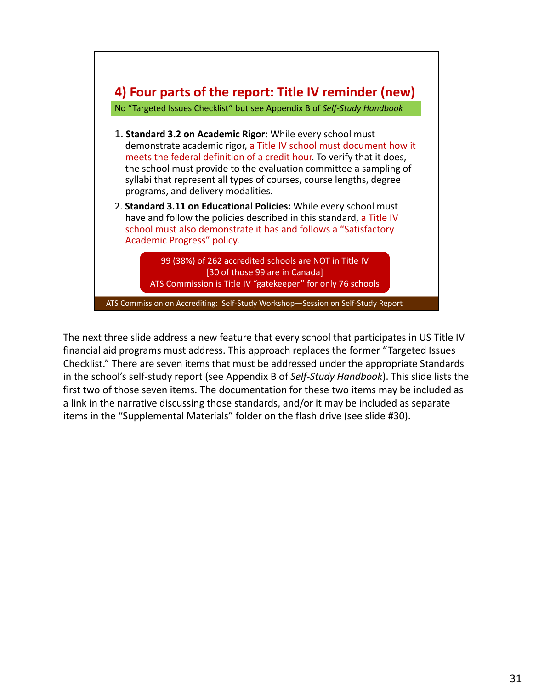

The next three slide address a new feature that every school that participates in US Title IV financial aid programs must address. This approach replaces the former "Targeted Issues Checklist." There are seven items that must be addressed under the appropriate Standards in the school's self‐study report (see Appendix B of *Self‐Study Handbook*). This slide lists the first two of those seven items. The documentation for these two items may be included as a link in the narrative discussing those standards, and/or it may be included as separate items in the "Supplemental Materials" folder on the flash drive (see slide #30).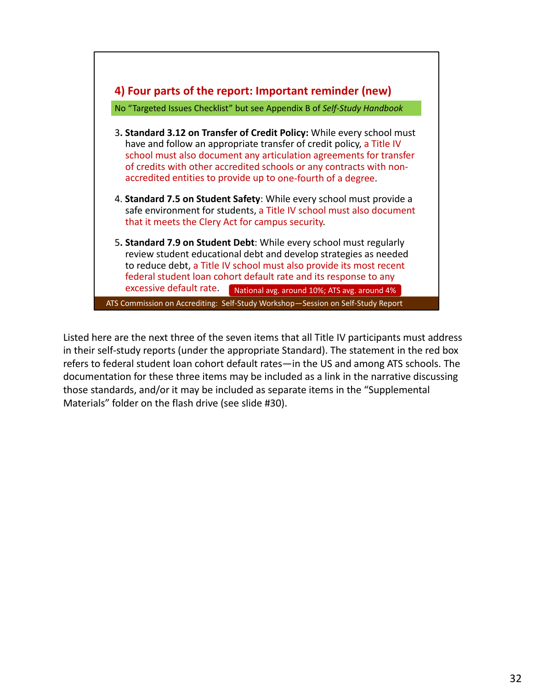

Listed here are the next three of the seven items that all Title IV participants must address in their self‐study reports (under the appropriate Standard). The statement in the red box refers to federal student loan cohort default rates—in the US and among ATS schools. The documentation for these three items may be included as a link in the narrative discussing those standards, and/or it may be included as separate items in the "Supplemental Materials" folder on the flash drive (see slide #30).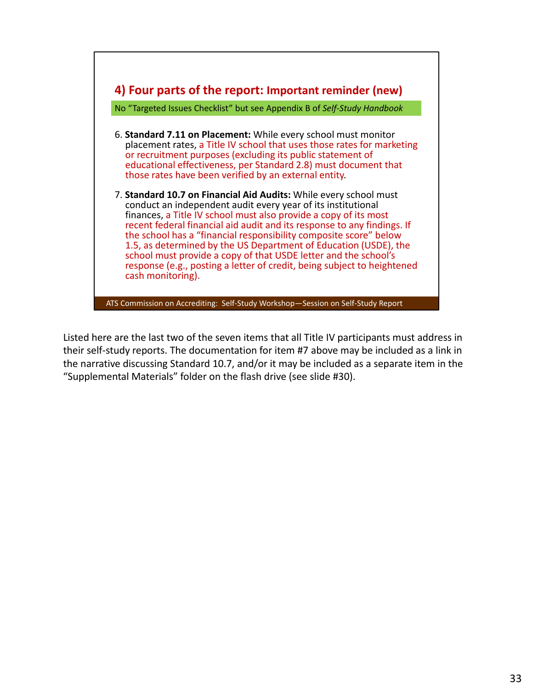

Listed here are the last two of the seven items that all Title IV participants must address in their self‐study reports. The documentation for item #7 above may be included as a link in the narrative discussing Standard 10.7, and/or it may be included as a separate item in the "Supplemental Materials" folder on the flash drive (see slide #30).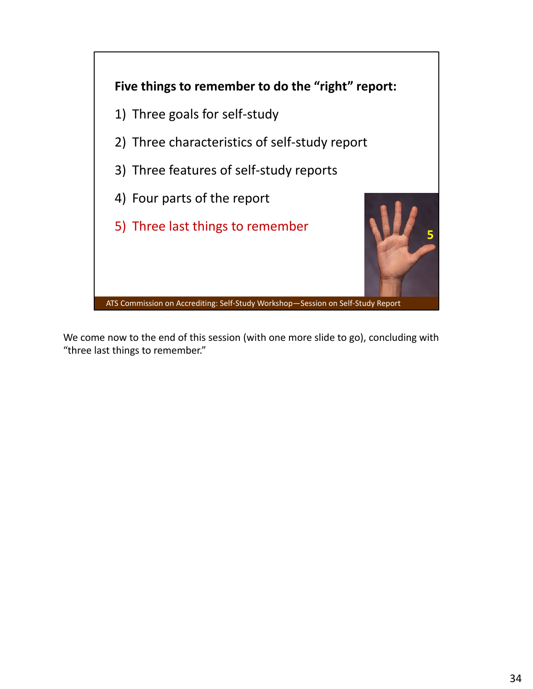

We come now to the end of this session (with one more slide to go), concluding with "three last things to remember."